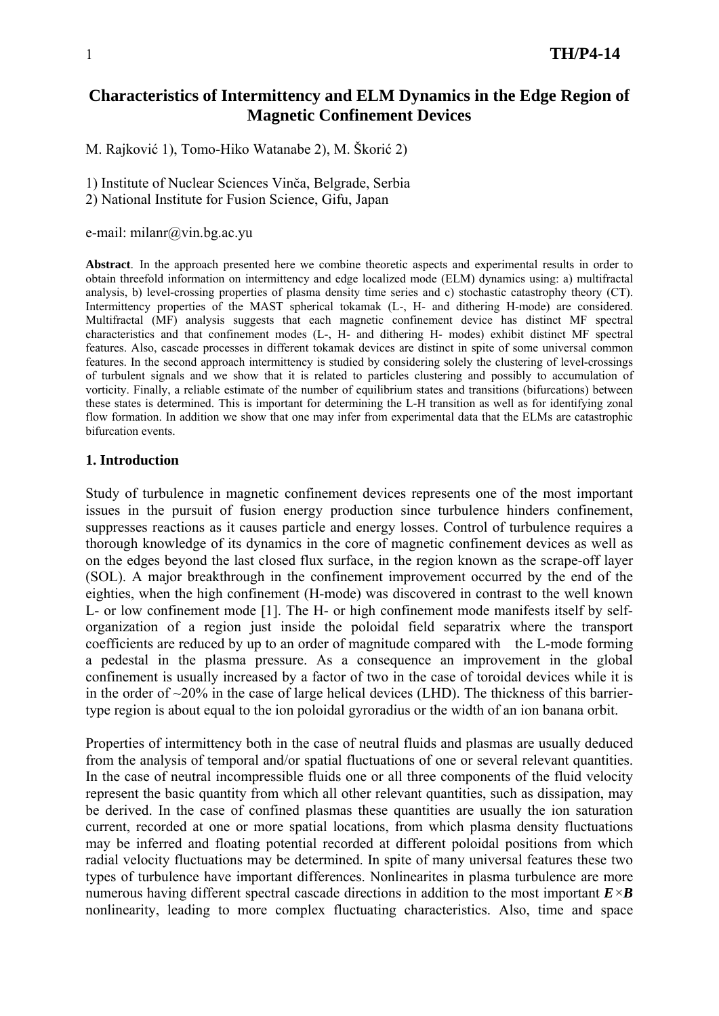# **Characteristics of Intermittency and ELM Dynamics in the Edge Region of Magnetic Confinement Devices**

M. Rajković 1), Tomo-Hiko Watanabe 2), M. Škorić 2)

1) Institute of Nuclear Sciences Vinča, Belgrade, Serbia

2) National Institute for Fusion Science, Gifu, Japan

e-mail: milanr@vin.bg.ac.yu

**Abstract**. In the approach presented here we combine theoretic aspects and experimental results in order to obtain threefold information on intermittency and edge localized mode (ELM) dynamics using: a) multifractal analysis, b) level-crossing properties of plasma density time series and c) stochastic catastrophy theory (CT). Intermittency properties of the MAST spherical tokamak (L-, H- and dithering H-mode) are considered. Multifractal (MF) analysis suggests that each magnetic confinement device has distinct MF spectral characteristics and that confinement modes (L-, H- and dithering H- modes) exhibit distinct MF spectral features. Also, cascade processes in different tokamak devices are distinct in spite of some universal common features. In the second approach intermittency is studied by considering solely the clustering of level-crossings of turbulent signals and we show that it is related to particles clustering and possibly to accumulation of vorticity. Finally, a reliable estimate of the number of equilibrium states and transitions (bifurcations) between these states is determined. This is important for determining the L-H transition as well as for identifying zonal flow formation. In addition we show that one may infer from experimental data that the ELMs are catastrophic bifurcation events.

#### **1. Introduction**

Study of turbulence in magnetic confinement devices represents one of the most important issues in the pursuit of fusion energy production since turbulence hinders confinement, suppresses reactions as it causes particle and energy losses. Control of turbulence requires a thorough knowledge of its dynamics in the core of magnetic confinement devices as well as on the edges beyond the last closed flux surface, in the region known as the scrape-off layer (SOL). A major breakthrough in the confinement improvement occurred by the end of the eighties, when the high confinement (H-mode) was discovered in contrast to the well known L- or low confinement mode [1]. The H- or high confinement mode manifests itself by selforganization of a region just inside the poloidal field separatrix where the transport coefficients are reduced by up to an order of magnitude compared with the L-mode forming a pedestal in the plasma pressure. As a consequence an improvement in the global confinement is usually increased by a factor of two in the case of toroidal devices while it is in the order of  $\sim$ 20% in the case of large helical devices (LHD). The thickness of this barriertype region is about equal to the ion poloidal gyroradius or the width of an ion banana orbit.

Properties of intermittency both in the case of neutral fluids and plasmas are usually deduced from the analysis of temporal and/or spatial fluctuations of one or several relevant quantities. In the case of neutral incompressible fluids one or all three components of the fluid velocity represent the basic quantity from which all other relevant quantities, such as dissipation, may be derived. In the case of confined plasmas these quantities are usually the ion saturation current, recorded at one or more spatial locations, from which plasma density fluctuations may be inferred and floating potential recorded at different poloidal positions from which radial velocity fluctuations may be determined. In spite of many universal features these two types of turbulence have important differences. Nonlinearites in plasma turbulence are more numerous having different spectral cascade directions in addition to the most important *E×B* nonlinearity, leading to more complex fluctuating characteristics. Also, time and space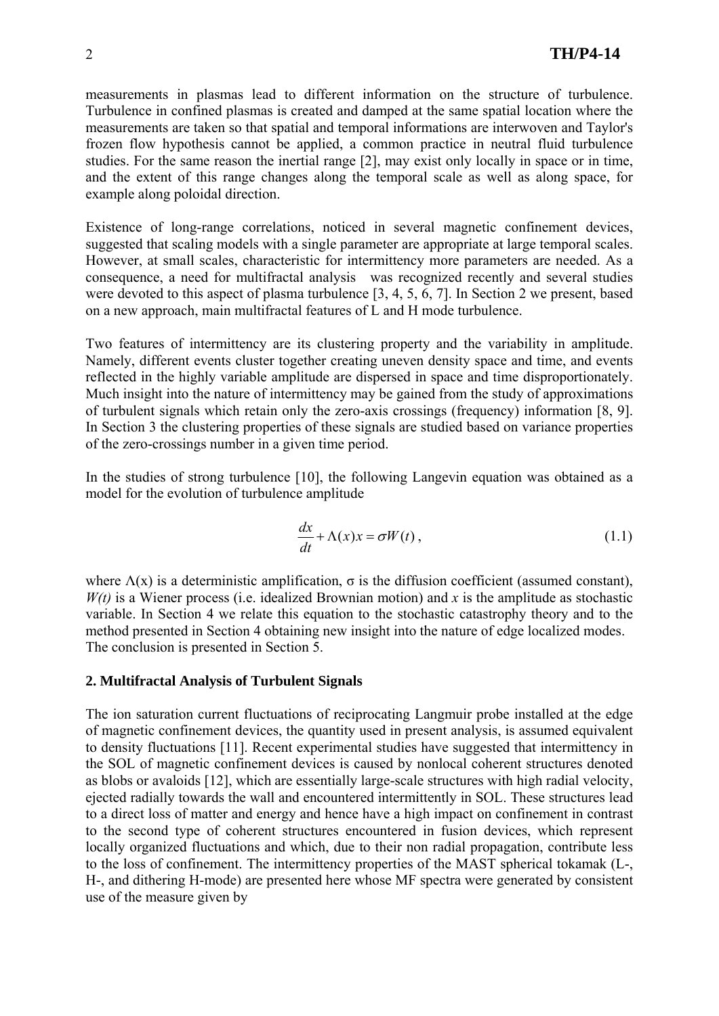measurements in plasmas lead to different information on the structure of turbulence. Turbulence in confined plasmas is created and damped at the same spatial location where the measurements are taken so that spatial and temporal informations are interwoven and Taylor's frozen flow hypothesis cannot be applied, a common practice in neutral fluid turbulence studies. For the same reason the inertial range [2], may exist only locally in space or in time, and the extent of this range changes along the temporal scale as well as along space, for example along poloidal direction.

Existence of long-range correlations, noticed in several magnetic confinement devices, suggested that scaling models with a single parameter are appropriate at large temporal scales. However, at small scales, characteristic for intermittency more parameters are needed. As a consequence, a need for multifractal analysis was recognized recently and several studies were devoted to this aspect of plasma turbulence [3, 4, 5, 6, 7]. In Section 2 we present, based on a new approach, main multifractal features of L and H mode turbulence.

Two features of intermittency are its clustering property and the variability in amplitude. Namely, different events cluster together creating uneven density space and time, and events reflected in the highly variable amplitude are dispersed in space and time disproportionately. Much insight into the nature of intermittency may be gained from the study of approximations of turbulent signals which retain only the zero-axis crossings (frequency) information [8, 9]. In Section 3 the clustering properties of these signals are studied based on variance properties of the zero-crossings number in a given time period.

In the studies of strong turbulence [10], the following Langevin equation was obtained as a model for the evolution of turbulence amplitude

$$
\frac{dx}{dt} + \Lambda(x)x = \sigma W(t),\tag{1.1}
$$

where  $\Lambda(x)$  is a deterministic amplification,  $\sigma$  is the diffusion coefficient (assumed constant),  $W(t)$  is a Wiener process (i.e. idealized Brownian motion) and x is the amplitude as stochastic variable. In Section 4 we relate this equation to the stochastic catastrophy theory and to the method presented in Section 4 obtaining new insight into the nature of edge localized modes. The conclusion is presented in Section 5.

### **2. Multifractal Analysis of Turbulent Signals**

The ion saturation current fluctuations of reciprocating Langmuir probe installed at the edge of magnetic confinement devices, the quantity used in present analysis, is assumed equivalent to density fluctuations [11]. Recent experimental studies have suggested that intermittency in the SOL of magnetic confinement devices is caused by nonlocal coherent structures denoted as blobs or avaloids [12], which are essentially large-scale structures with high radial velocity, ejected radially towards the wall and encountered intermittently in SOL. These structures lead to a direct loss of matter and energy and hence have a high impact on confinement in contrast to the second type of coherent structures encountered in fusion devices, which represent locally organized fluctuations and which, due to their non radial propagation, contribute less to the loss of confinement. The intermittency properties of the MAST spherical tokamak (L-, H-, and dithering H-mode) are presented here whose MF spectra were generated by consistent use of the measure given by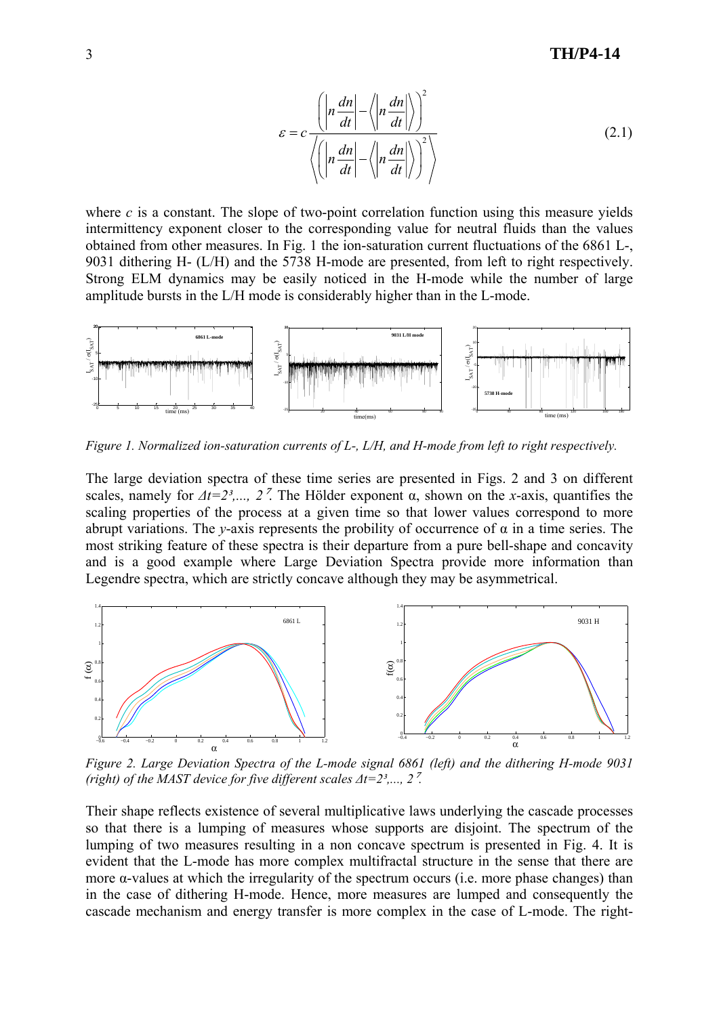### 3 **TH/P4-14**

$$
\varepsilon = c \frac{\left( \left| n \frac{dn}{dt} \right| - \left\langle \left| n \frac{dn}{dt} \right| \right\rangle \right)^2}{\left\langle \left( \left| n \frac{dn}{dt} \right| - \left\langle \left| n \frac{dn}{dt} \right| \right\rangle \right)^2 \right\rangle}
$$
\n(2.1)

where *c* is a constant. The slope of two-point correlation function using this measure yields intermittency exponent closer to the corresponding value for neutral fluids than the values obtained from other measures. In Fig. 1 the ion-saturation current fluctuations of the 6861 L-, 9031 dithering H- (L/H) and the 5738 H-mode are presented, from left to right respectively. Strong ELM dynamics may be easily noticed in the H-mode while the number of large amplitude bursts in the L/H mode is considerably higher than in the L-mode.



*Figure 1. Normalized ion-saturation currents of L-, L/H, and H-mode from left to right respectively.* 

The large deviation spectra of these time series are presented in Figs. 2 and 3 on different scales, namely for  $\Delta t = 2^3, \ldots, 2^7$ . The Hölder exponent  $\alpha$ , shown on the *x*-axis, quantifies the scaling properties of the process at a given time so that lower values correspond to more abrupt variations. The *y*-axis represents the probility of occurrence of  $\alpha$  in a time series. The most striking feature of these spectra is their departure from a pure bell-shape and concavity and is a good example where Large Deviation Spectra provide more information than Legendre spectra, which are strictly concave although they may be asymmetrical.



*Figure 2. Large Deviation Spectra of the L-mode signal 6861 (left) and the dithering H-mode 9031 (right) of the MAST device for five different scales*  $\Delta t = 2^3, ..., 2^7$ *.* 

Their shape reflects existence of several multiplicative laws underlying the cascade processes so that there is a lumping of measures whose supports are disjoint. The spectrum of the lumping of two measures resulting in a non concave spectrum is presented in Fig. 4. It is evident that the L-mode has more complex multifractal structure in the sense that there are more α-values at which the irregularity of the spectrum occurs (i.e. more phase changes) than in the case of dithering H-mode. Hence, more measures are lumped and consequently the cascade mechanism and energy transfer is more complex in the case of L-mode. The right-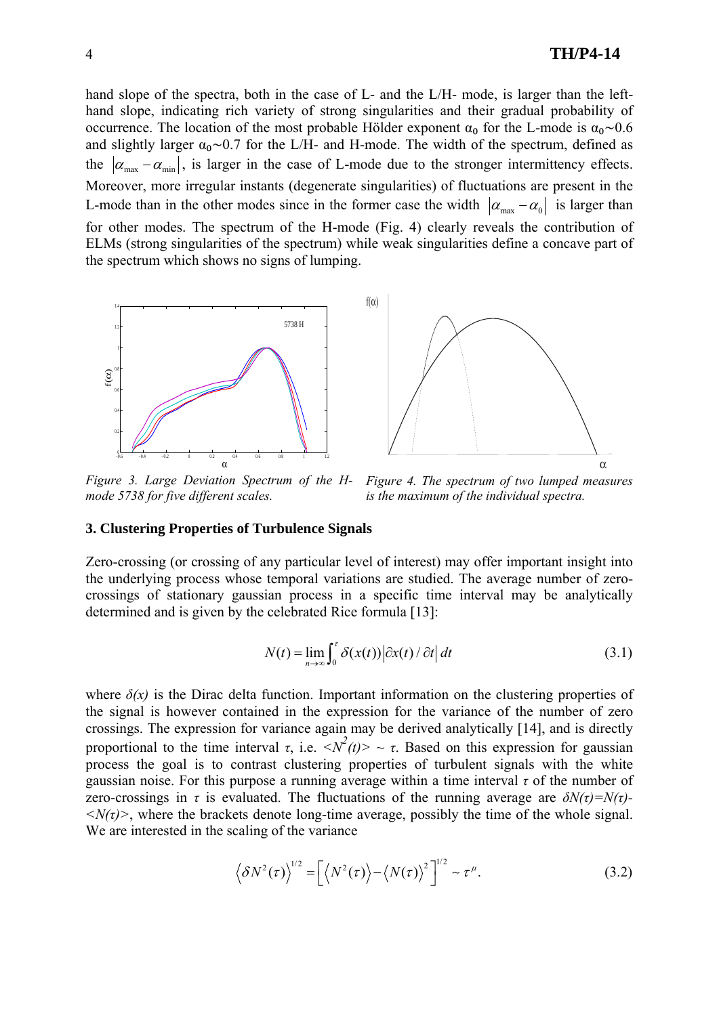hand slope of the spectra, both in the case of L- and the L/H- mode, is larger than the lefthand slope, indicating rich variety of strong singularities and their gradual probability of occurrence. The location of the most probable Hölder exponent  $\alpha_0$  for the L-mode is  $\alpha_0 \sim 0.6$ and slightly larger  $\alpha_0 \sim 0.7$  for the L/H- and H-mode. The width of the spectrum, defined as the  $|\alpha_{\text{max}} - \alpha_{\text{min}}|$ , is larger in the case of L-mode due to the stronger intermittency effects. Moreover, more irregular instants (degenerate singularities) of fluctuations are present in the L-mode than in the other modes since in the former case the width  $|\alpha_{\text{max}} - \alpha_0|$  is larger than for other modes. The spectrum of the H-mode (Fig. 4) clearly reveals the contribution of ELMs (strong singularities of the spectrum) while weak singularities define a concave part of the spectrum which shows no signs of lumping.



*Figure 3. Large Deviation Spectrum of the H-Figure 4. The spectrum of two lumped measures mode 5738 for five different scales. is the maximum of the individual spectra.* 

#### **3. Clustering Properties of Turbulence Signals**

Zero-crossing (or crossing of any particular level of interest) may offer important insight into the underlying process whose temporal variations are studied. The average number of zerocrossings of stationary gaussian process in a specific time interval may be analytically determined and is given by the celebrated Rice formula [13]:

$$
N(t) = \lim_{n \to \infty} \int_0^{\tau} \delta(x(t)) |\partial x(t) / \partial t| dt
$$
 (3.1)

where  $\delta(x)$  is the Dirac delta function. Important information on the clustering properties of the signal is however contained in the expression for the variance of the number of zero crossings. The expression for variance again may be derived analytically [14], and is directly proportional to the time interval  $\tau$ , i.e.  $\langle N^2(t) \rangle \sim \tau$ . Based on this expression for gaussian process the goal is to contrast clustering properties of turbulent signals with the white gaussian noise. For this purpose a running average within a time interval *τ* of the number of zero-crossings in  $\tau$  is evaluated. The fluctuations of the running average are  $\delta N(\tau) = N(\tau)$ - $\langle N(\tau) \rangle$ , where the brackets denote long-time average, possibly the time of the whole signal. We are interested in the scaling of the variance

$$
\left\langle \delta N^2(\tau) \right\rangle^{1/2} = \left[ \left\langle N^2(\tau) \right\rangle - \left\langle N(\tau) \right\rangle^2 \right]^{1/2} \sim \tau^\mu. \tag{3.2}
$$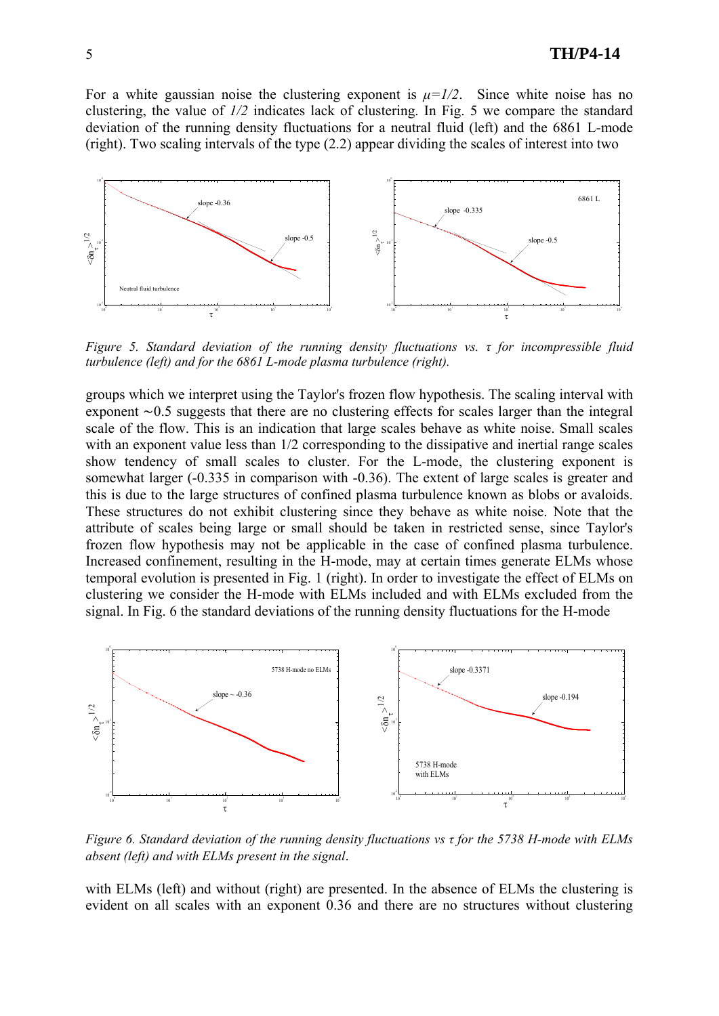### 5 **TH/P4-14**

For a white gaussian noise the clustering exponent is  $\mu = I/2$ . Since white noise has no clustering, the value of *1/2* indicates lack of clustering. In Fig. 5 we compare the standard deviation of the running density fluctuations for a neutral fluid (left) and the 6861 L-mode (right). Two scaling intervals of the type (2.2) appear dividing the scales of interest into two



*Figure 5. Standard deviation of the running density fluctuations vs. τ for incompressible fluid turbulence (left) and for the 6861 L-mode plasma turbulence (right).* 

groups which we interpret using the Taylor's frozen flow hypothesis. The scaling interval with exponent  $\sim 0.5$  suggests that there are no clustering effects for scales larger than the integral scale of the flow. This is an indication that large scales behave as white noise. Small scales with an exponent value less than  $1/2$  corresponding to the dissipative and inertial range scales show tendency of small scales to cluster. For the L-mode, the clustering exponent is somewhat larger (-0.335 in comparison with -0.36). The extent of large scales is greater and this is due to the large structures of confined plasma turbulence known as blobs or avaloids. These structures do not exhibit clustering since they behave as white noise. Note that the attribute of scales being large or small should be taken in restricted sense, since Taylor's frozen flow hypothesis may not be applicable in the case of confined plasma turbulence. Increased confinement, resulting in the H-mode, may at certain times generate ELMs whose temporal evolution is presented in Fig. 1 (right). In order to investigate the effect of ELMs on clustering we consider the H-mode with ELMs included and with ELMs excluded from the signal. In Fig. 6 the standard deviations of the running density fluctuations for the H-mode



*Figure 6. Standard deviation of the running density fluctuations vs τ for the 5738 H-mode with ELMs absent (left) and with ELMs present in the signal*.

with ELMs (left) and without (right) are presented. In the absence of ELMs the clustering is evident on all scales with an exponent 0.36 and there are no structures without clustering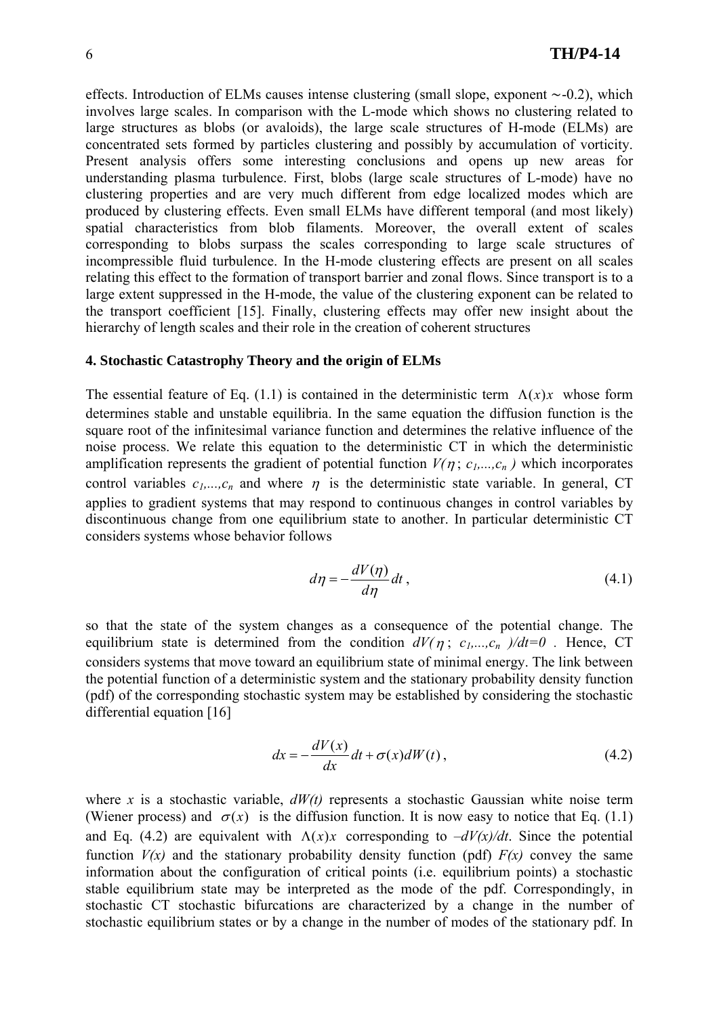effects. Introduction of ELMs causes intense clustering (small slope, exponent  $\sim$ -0.2), which involves large scales. In comparison with the L-mode which shows no clustering related to large structures as blobs (or avaloids), the large scale structures of H-mode (ELMs) are concentrated sets formed by particles clustering and possibly by accumulation of vorticity. Present analysis offers some interesting conclusions and opens up new areas for understanding plasma turbulence. First, blobs (large scale structures of L-mode) have no clustering properties and are very much different from edge localized modes which are produced by clustering effects. Even small ELMs have different temporal (and most likely) spatial characteristics from blob filaments. Moreover, the overall extent of scales corresponding to blobs surpass the scales corresponding to large scale structures of incompressible fluid turbulence. In the H-mode clustering effects are present on all scales relating this effect to the formation of transport barrier and zonal flows. Since transport is to a large extent suppressed in the H-mode, the value of the clustering exponent can be related to the transport coefficient [15]. Finally, clustering effects may offer new insight about the hierarchy of length scales and their role in the creation of coherent structures

#### **4. Stochastic Catastrophy Theory and the origin of ELMs**

The essential feature of Eq. (1.1) is contained in the deterministic term  $\Lambda(x)x$  whose form determines stable and unstable equilibria. In the same equation the diffusion function is the square root of the infinitesimal variance function and determines the relative influence of the noise process. We relate this equation to the deterministic CT in which the deterministic amplification represents the gradient of potential function  $V(\eta; c_1,...,c_n)$  which incorporates control variables  $c_1, \ldots, c_n$  and where  $\eta$  is the deterministic state variable. In general, CT applies to gradient systems that may respond to continuous changes in control variables by discontinuous change from one equilibrium state to another. In particular deterministic CT considers systems whose behavior follows

$$
d\eta = -\frac{dV(\eta)}{d\eta}dt\,,\tag{4.1}
$$

so that the state of the system changes as a consequence of the potential change. The equilibrium state is determined from the condition  $dV(\eta; c_1,...,c_n)/dt=0$ . Hence, CT considers systems that move toward an equilibrium state of minimal energy. The link between the potential function of a deterministic system and the stationary probability density function (pdf) of the corresponding stochastic system may be established by considering the stochastic differential equation [16]

$$
dx = -\frac{dV(x)}{dx}dt + \sigma(x)dW(t),
$$
\n(4.2)

where *x* is a stochastic variable,  $dW(t)$  represents a stochastic Gaussian white noise term (Wiener process) and  $\sigma(x)$  is the diffusion function. It is now easy to notice that Eq. (1.1) and Eq. (4.2) are equivalent with  $\Lambda(x)x$  corresponding to  $-dV(x)/dt$ . Since the potential function  $V(x)$  and the stationary probability density function (pdf)  $F(x)$  convey the same information about the configuration of critical points (i.e. equilibrium points) a stochastic stable equilibrium state may be interpreted as the mode of the pdf. Correspondingly, in stochastic CT stochastic bifurcations are characterized by a change in the number of stochastic equilibrium states or by a change in the number of modes of the stationary pdf. In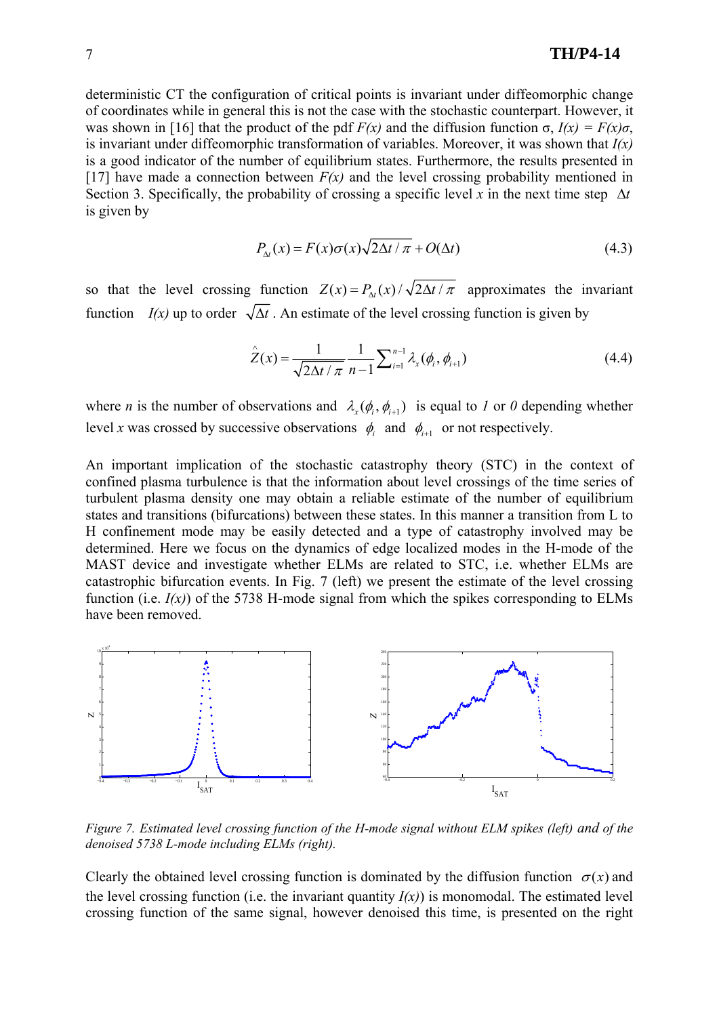## 7 **TH/P4-14**

deterministic CT the configuration of critical points is invariant under diffeomorphic change of coordinates while in general this is not the case with the stochastic counterpart. However, it was shown in [16] that the product of the pdf  $F(x)$  and the diffusion function  $\sigma$ ,  $I(x) = F(x)\sigma$ , is invariant under diffeomorphic transformation of variables. Moreover, it was shown that *I(x)* is a good indicator of the number of equilibrium states. Furthermore, the results presented in [17] have made a connection between *F(x)* and the level crossing probability mentioned in Section 3. Specifically, the probability of crossing a specific level *x* in the next time step  $\Delta t$ is given by

$$
P_{\Delta t}(x) = F(x)\sigma(x)\sqrt{2\Delta t}/\pi + O(\Delta t)
$$
\n(4.3)

so that the level crossing function  $Z(x) = P_{\lambda t}(x) / \sqrt{2\Delta t / \pi}$  approximates the invariant function *I(x)* up to order  $\sqrt{\Delta t}$ . An estimate of the level crossing function is given by

$$
\hat{Z}(x) = \frac{1}{\sqrt{2\Delta t / \pi}} \frac{1}{n-1} \sum_{i=1}^{n-1} \lambda_x(\phi_i, \phi_{i+1})
$$
(4.4)

where *n* is the number of observations and  $\lambda_{r}(\phi, \phi_{i+1})$  is equal to *l* or *0* depending whether level *x* was crossed by successive observations  $\phi_i$  and  $\phi_{i+1}$  or not respectively.

An important implication of the stochastic catastrophy theory (STC) in the context of confined plasma turbulence is that the information about level crossings of the time series of turbulent plasma density one may obtain a reliable estimate of the number of equilibrium states and transitions (bifurcations) between these states. In this manner a transition from L to H confinement mode may be easily detected and a type of catastrophy involved may be determined. Here we focus on the dynamics of edge localized modes in the H-mode of the MAST device and investigate whether ELMs are related to STC, i.e. whether ELMs are catastrophic bifurcation events. In Fig. 7 (left) we present the estimate of the level crossing function (i.e.  $I(x)$ ) of the 5738 H-mode signal from which the spikes corresponding to ELMs have been removed.



*Figure 7. Estimated level crossing function of the H-mode signal without ELM spikes (left) and of the denoised 5738 L-mode including ELMs (right).*

Clearly the obtained level crossing function is dominated by the diffusion function  $\sigma(x)$  and the level crossing function (i.e. the invariant quantity  $I(x)$ ) is monomodal. The estimated level crossing function of the same signal, however denoised this time, is presented on the right